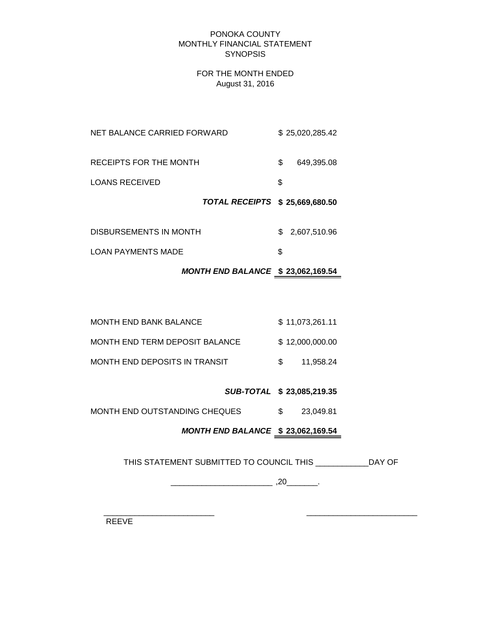#### PONOKA COUNTY MONTHLY FINANCIAL STATEMENT **SYNOPSIS**

## FOR THE MONTH ENDED August 31, 2016

|                             | TOTAL RECEIPTS \$ 25,669,680.50 |    |                 |
|-----------------------------|---------------------------------|----|-----------------|
| <b>LOANS RECEIVED</b>       |                                 | \$ |                 |
| RECEIPTS FOR THE MONTH      |                                 | S. | 649.395.08      |
| NET BALANCE CARRIED FORWARD |                                 |    | \$25,020,285.42 |

| DISBURSEMENTS IN MONTH | \$ 2,607,510.96 |
|------------------------|-----------------|
| LOAN PAYMENTS MADE     |                 |

# *MONTH END BALANCE* **\$ 23,062,169.54**

| MONTH END BANK BALANCE         | \$11,073,261.11 |
|--------------------------------|-----------------|
| MONTH END TERM DEPOSIT BALANCE | \$12,000,000,00 |
| MONTH END DEPOSITS IN TRANSIT  | 11.958.24       |

## *SUB-TOTAL* **\$ 23,085,219.35**

MONTH END OUTSTANDING CHEQUES  $$3,049.81$ 

# *MONTH END BALANCE* **\$ 23,062,169.54**

THIS STATEMENT SUBMITTED TO COUNCIL THIS \_\_\_\_\_\_\_\_\_\_\_\_DAY OF

\_\_\_\_\_\_\_\_\_\_\_\_\_\_\_\_\_\_\_\_\_\_\_ ,20\_\_\_\_\_\_\_.

 $\frac{1}{2}$  ,  $\frac{1}{2}$  ,  $\frac{1}{2}$  ,  $\frac{1}{2}$  ,  $\frac{1}{2}$  ,  $\frac{1}{2}$  ,  $\frac{1}{2}$  ,  $\frac{1}{2}$  ,  $\frac{1}{2}$  ,  $\frac{1}{2}$  ,  $\frac{1}{2}$  ,  $\frac{1}{2}$  ,  $\frac{1}{2}$  ,  $\frac{1}{2}$  ,  $\frac{1}{2}$  ,  $\frac{1}{2}$  ,  $\frac{1}{2}$  ,  $\frac{1}{2}$  ,  $\frac{1$ 

REEVE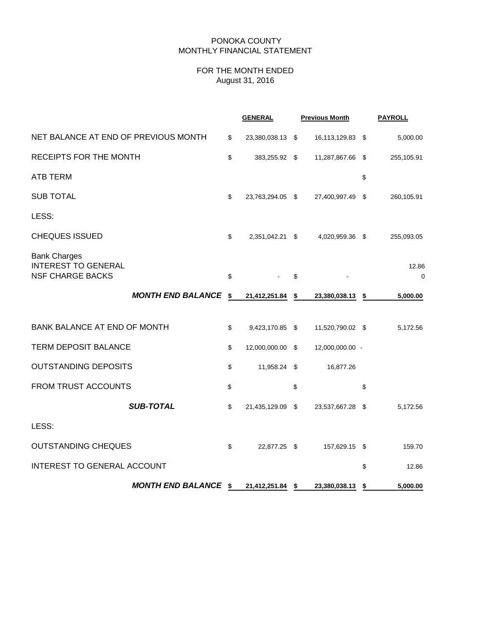#### PONOKA COUNTY MONTHLY FINANCIAL STATEMENT

## FOR THE MONTH ENDED August 31, 2016

|                                                                              |                             | <b>GENERAL</b>         | <b>Previous Month</b>  | <b>PAYROLL</b>       |
|------------------------------------------------------------------------------|-----------------------------|------------------------|------------------------|----------------------|
| NET BALANCE AT END OF PREVIOUS MONTH                                         |                             | \$<br>23,380,038.13 \$ | 16,113,129.83 \$       | 5,000.00             |
| RECEIPTS FOR THE MONTH                                                       |                             | \$<br>383,255.92 \$    | 11,287,867.66 \$       | 255,105.91           |
| <b>ATB TERM</b>                                                              |                             |                        |                        | \$                   |
| <b>SUB TOTAL</b>                                                             |                             | \$<br>23,763,294.05 \$ | 27,400,997.49          | \$<br>260,105.91     |
| LESS:                                                                        |                             |                        |                        |                      |
| <b>CHEQUES ISSUED</b>                                                        |                             | \$<br>2,351,042.21 \$  | 4,020,959.36 \$        | 255,093.05           |
| <b>Bank Charges</b><br><b>INTEREST TO GENERAL</b><br><b>NSF CHARGE BACKS</b> |                             | \$                     | \$                     | 12.86<br>$\mathbf 0$ |
|                                                                              | <b>MONTH END BALANCE</b>    | \$<br>21,412,251.84    | \$<br>23,380,038.13 \$ | 5,000.00             |
| <b>BANK BALANCE AT END OF MONTH</b>                                          |                             | \$<br>9,423,170.85 \$  | 11,520,790.02 \$       | 5,172.56             |
| <b>TERM DEPOSIT BALANCE</b>                                                  |                             | \$<br>12,000,000.00 \$ | 12,000,000.00 -        |                      |
| <b>OUTSTANDING DEPOSITS</b>                                                  |                             | \$<br>11,958.24 \$     | 16,877.26              |                      |
| <b>FROM TRUST ACCOUNTS</b>                                                   |                             | \$                     | \$                     | \$                   |
|                                                                              | <b>SUB-TOTAL</b>            | \$<br>21,435,129.09 \$ | 23,537,667.28 \$       | 5,172.56             |
| LESS:                                                                        |                             |                        |                        |                      |
| <b>OUTSTANDING CHEQUES</b>                                                   |                             | \$<br>22,877.25 \$     | 157,629.15 \$          | 159.70               |
| <b>INTEREST TO GENERAL ACCOUNT</b>                                           |                             |                        |                        | \$<br>12.86          |
|                                                                              | <b>MONTH END BALANCE \$</b> | 21,412,251.84 \$       | 23,380,038.13          | \$<br>5,000.00       |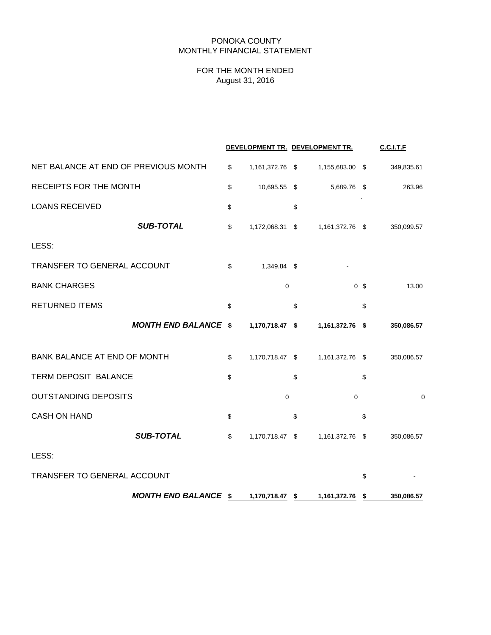### PONOKA COUNTY MONTHLY FINANCIAL STATEMENT

## FOR THE MONTH ENDED August 31, 2016

|                                      |                       | DEVELOPMENT TR. DEVELOPMENT TR. |                | <b>C.C.I.T.F</b> |
|--------------------------------------|-----------------------|---------------------------------|----------------|------------------|
| NET BALANCE AT END OF PREVIOUS MONTH | \$<br>1,161,372.76 \$ | 1,155,683.00 \$                 |                | 349,835.61       |
| RECEIPTS FOR THE MONTH               | \$<br>10,695.55 \$    | 5,689.76 \$                     |                | 263.96           |
| <b>LOANS RECEIVED</b>                | \$                    | \$                              |                |                  |
| <b>SUB-TOTAL</b>                     | \$<br>1,172,068.31 \$ | 1,161,372.76 \$                 |                | 350,099.57       |
| LESS:                                |                       |                                 |                |                  |
| TRANSFER TO GENERAL ACCOUNT          | \$<br>1,349.84 \$     |                                 |                |                  |
| <b>BANK CHARGES</b>                  | $\mathbf 0$           |                                 | 0 <sup>5</sup> | 13.00            |
| <b>RETURNED ITEMS</b>                | \$                    | \$                              | \$             |                  |
| <b>MONTH END BALANCE</b>             | \$<br>1,170,718.47    | \$<br>1,161,372.76              | \$             | 350,086.57       |
| BANK BALANCE AT END OF MONTH         | \$<br>1,170,718.47 \$ | 1,161,372.76 \$                 |                | 350,086.57       |
| TERM DEPOSIT BALANCE                 | \$                    | \$                              | \$             |                  |
| <b>OUTSTANDING DEPOSITS</b>          | $\mathbf 0$           | $\mathbf 0$                     |                | $\mathbf 0$      |
| <b>CASH ON HAND</b>                  | \$                    | \$                              | \$             |                  |
| <b>SUB-TOTAL</b>                     | \$<br>1,170,718.47 \$ | 1,161,372.76 \$                 |                | 350,086.57       |
| LESS:                                |                       |                                 |                |                  |
| <b>TRANSFER TO GENERAL ACCOUNT</b>   |                       |                                 | \$             |                  |
| <b>MONTH END BALANCE \$</b>          | 1,170,718.47 \$       | 1,161,372.76                    | \$             | 350,086.57       |